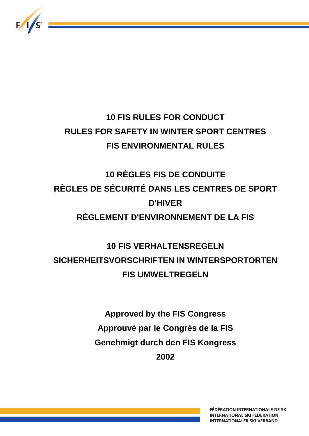

# **10 FIS RULES FOR CONDUCT RULES FOR SAFETY IN WINTER SPORT CENTRES FIS ENVIRONMENTAL RULES**

# **10 RÈGLES FIS DE CONDUITE RÈGLES DE SÉCURITÉ DANS LES CENTRES DE SPORT D'HIVER RÈGLEMENT D'ENVIRONNEMENT DE LA FIS**

# **10 FIS VERHALTENSREGELN SICHERHEITSVORSCHRIFTEN IN WINTERSPORTORTEN FIS UMWELTREGELN**

**Approved by the FIS Congress Approuvé par le Congrès de la FIS Genehmigt durch den FIS Kongress 2002**

> FÉDÉRATION INTERNATIONALE DE SKI **INTERNATIONAL SKI FEDERATION INTERNATIONALER SKI VERBAND**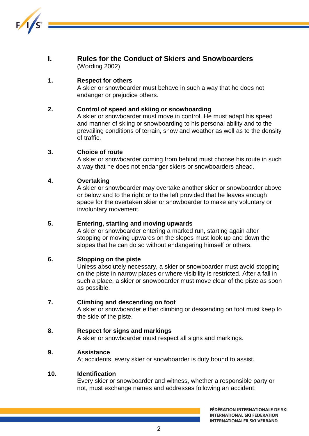

**I. Rules for the Conduct of Skiers and Snowboarders** (Wording 2002)

# **1. Respect for others**

A skier or snowboarder must behave in such a way that he does not endanger or prejudice others.

#### **2. Control of speed and skiing or snowboarding**

A skier or snowboarder must move in control. He must adapt his speed and manner of skiing or snowboarding to his personal ability and to the prevailing conditions of terrain, snow and weather as well as to the density of traffic.

#### **3. Choice of route**

A skier or snowboarder coming from behind must choose his route in such a way that he does not endanger skiers or snowboarders ahead.

#### **4. Overtaking**

A skier or snowboarder may overtake another skier or snowboarder above or below and to the right or to the left provided that he leaves enough space for the overtaken skier or snowboarder to make any voluntary or involuntary movement.

#### **5. Entering, starting and moving upwards**

A skier or snowboarder entering a marked run, starting again after stopping or moving upwards on the slopes must look up and down the slopes that he can do so without endangering himself or others.

#### **6. Stopping on the piste**

Unless absolutely necessary, a skier or snowboarder must avoid stopping on the piste in narrow places or where visibility is restricted. After a fall in such a place, a skier or snowboarder must move clear of the piste as soon as possible.

#### **7. Climbing and descending on foot**

A skier or snowboarder either climbing or descending on foot must keep to the side of the piste.

### **8. Respect for signs and markings**

A skier or snowboarder must respect all signs and markings.

#### **9. Assistance**

At accidents, every skier or snowboarder is duty bound to assist.

#### **10. Identification**

Every skier or snowboarder and witness, whether a responsible party or not, must exchange names and addresses following an accident.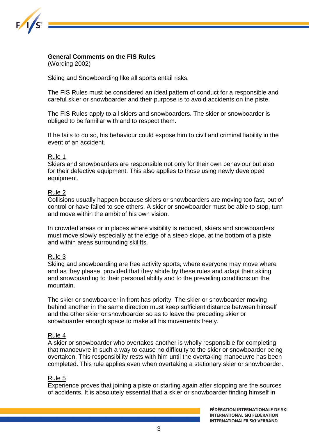

#### **General Comments on the FIS Rules**

(Wording 2002)

Skiing and Snowboarding like all sports entail risks.

The FIS Rules must be considered an ideal pattern of conduct for a responsible and careful skier or snowboarder and their purpose is to avoid accidents on the piste.

The FIS Rules apply to all skiers and snowboarders. The skier or snowboarder is obliged to be familiar with and to respect them.

If he fails to do so, his behaviour could expose him to civil and criminal liability in the event of an accident.

#### Rule 1

Skiers and snowboarders are responsible not only for their own behaviour but also for their defective equipment. This also applies to those using newly developed equipment.

#### Rule 2

Collisions usually happen because skiers or snowboarders are moving too fast, out of control or have failed to see others. A skier or snowboarder must be able to stop, turn and move within the ambit of his own vision.

In crowded areas or in places where visibility is reduced, skiers and snowboarders must move slowly especially at the edge of a steep slope, at the bottom of a piste and within areas surrounding skilifts.

#### Rule 3

Skiing and snowboarding are free activity sports, where everyone may move where and as they please, provided that they abide by these rules and adapt their skiing and snowboarding to their personal ability and to the prevailing conditions on the mountain.

The skier or snowboarder in front has priority. The skier or snowboarder moving behind another in the same direction must keep sufficient distance between himself and the other skier or snowboarder so as to leave the preceding skier or snowboarder enough space to make all his movements freely.

#### Rule 4

A skier or snowboarder who overtakes another is wholly responsible for completing that manoeuvre in such a way to cause no difficulty to the skier or snowboarder being overtaken. This responsibility rests with him until the overtaking manoeuvre has been completed. This rule applies even when overtaking a stationary skier or snowboarder.

#### Rule 5

Experience proves that joining a piste or starting again after stopping are the sources of accidents. It is absolutely essential that a skier or snowboarder finding himself in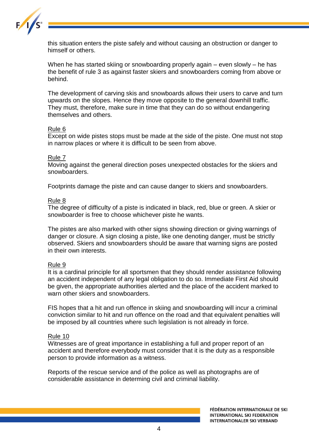

this situation enters the piste safely and without causing an obstruction or danger to himself or others.

When he has started skiing or snowboarding properly again – even slowly – he has the benefit of rule 3 as against faster skiers and snowboarders coming from above or behind.

The development of carving skis and snowboards allows their users to carve and turn upwards on the slopes. Hence they move opposite to the general downhill traffic. They must, therefore, make sure in time that they can do so without endangering themselves and others.

#### Rule 6

Except on wide pistes stops must be made at the side of the piste. One must not stop in narrow places or where it is difficult to be seen from above.

#### Rule 7

Moving against the general direction poses unexpected obstacles for the skiers and snowboarders.

Footprints damage the piste and can cause danger to skiers and snowboarders.

#### Rule 8

The degree of difficulty of a piste is indicated in black, red, blue or green. A skier or snowboarder is free to choose whichever piste he wants.

The pistes are also marked with other signs showing direction or giving warnings of danger or closure. A sign closing a piste, like one denoting danger, must be strictly observed. Skiers and snowboarders should be aware that warning signs are posted in their own interests.

#### Rule 9

It is a cardinal principle for all sportsmen that they should render assistance following an accident independent of any legal obligation to do so. Immediate First Aid should be given, the appropriate authorities alerted and the place of the accident marked to warn other skiers and snowboarders.

FIS hopes that a hit and run offence in skiing and snowboarding will incur a criminal conviction similar to hit and run offence on the road and that equivalent penalties will be imposed by all countries where such legislation is not already in force.

#### Rule 10

Witnesses are of great importance in establishing a full and proper report of an accident and therefore everybody must consider that it is the duty as a responsible person to provide information as a witness.

Reports of the rescue service and of the police as well as photographs are of considerable assistance in determing civil and criminal liability.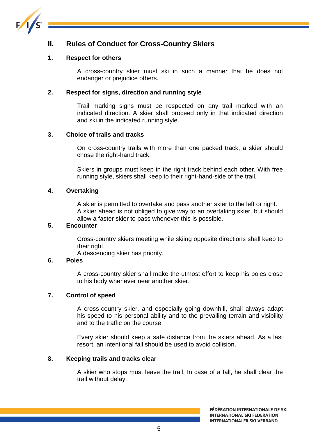

# **II. Rules of Conduct for Cross-Country Skiers**

#### **1. Respect for others**

A cross-country skier must ski in such a manner that he does not endanger or prejudice others.

#### **2. Respect for signs, direction and running style**

Trail marking signs must be respected on any trail marked with an indicated direction. A skier shall proceed only in that indicated direction and ski in the indicated running style.

#### **3. Choice of trails and tracks**

On cross-country trails with more than one packed track, a skier should chose the right-hand track.

Skiers in groups must keep in the right track behind each other. With free running style, skiers shall keep to their right-hand-side of the trail.

#### **4. Overtaking**

A skier is permitted to overtake and pass another skier to the left or right. A skier ahead is not obliged to give way to an overtaking skier, but should allow a faster skier to pass whenever this is possible.

#### **5. Encounter**

Cross-country skiers meeting while skiing opposite directions shall keep to their right.

A descending skier has priority.

#### **6. Poles**

A cross-country skier shall make the utmost effort to keep his poles close to his body whenever near another skier.

#### **7. Control of speed**

A cross-country skier, and especially going downhill, shall always adapt his speed to his personal ability and to the prevailing terrain and visibility and to the traffic on the course.

Every skier should keep a safe distance from the skiers ahead. As a last resort, an intentional fall should be used to avoid collision.

#### **8. Keeping trails and tracks clear**

A skier who stops must leave the trail. In case of a fall, he shall clear the trail without delay.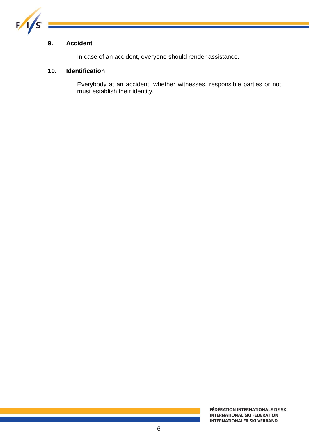

#### **9. Accident**

In case of an accident, everyone should render assistance.

#### **10. Identification**

Everybody at an accident, whether witnesses, responsible parties or not, must establish their identity.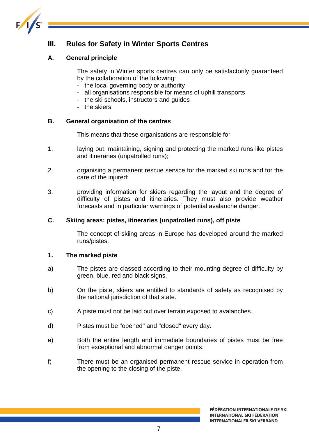

# **III. Rules for Safety in Winter Sports Centres**

#### **A. General principle**

The safety in Winter sports centres can only be satisfactorily guaranteed by the collaboration of the following:

- the local governing body or authority
- all organisations responsible for means of uphill transports
- the ski schools, instructors and guides
- the skiers

#### **B. General organisation of the centres**

This means that these organisations are responsible for

- 1. laying out, maintaining, signing and protecting the marked runs like pistes and itineraries (unpatrolled runs);
- 2. organising a permanent rescue service for the marked ski runs and for the care of the injured;
- 3. providing information for skiers regarding the layout and the degree of difficulty of pistes and itineraries. They must also provide weather forecasts and in particular warnings of potential avalanche danger.

#### **C. Skiing areas: pistes, itineraries (unpatrolled runs), off piste**

The concept of skiing areas in Europe has developed around the marked runs/pistes.

#### **1. The marked piste**

- a) The pistes are classed according to their mounting degree of difficulty by green, blue, red and black signs.
- b) On the piste, skiers are entitled to standards of safety as recognised by the national jurisdiction of that state.
- c) A piste must not be laid out over terrain exposed to avalanches.
- d) Pistes must be "opened" and "closed" every day.
- e) Both the entire length and immediate boundaries of pistes must be free from exceptional and abnormal danger points.
- f) There must be an organised permanent rescue service in operation from the opening to the closing of the piste.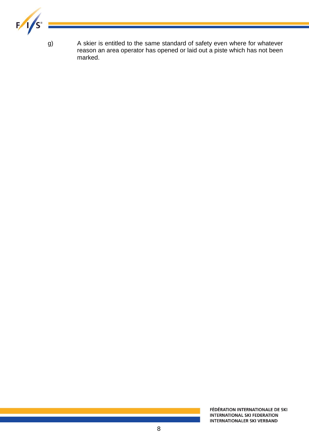

g) A skier is entitled to the same standard of safety even where for whatever reason an area operator has opened or laid out a piste which has not been marked.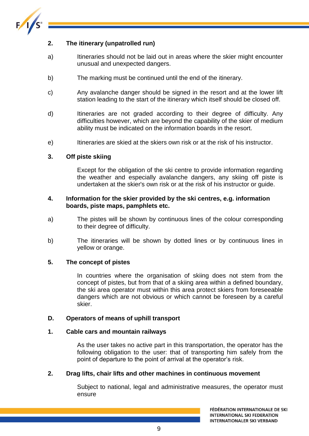

#### **2. The itinerary (unpatrolled run)**

- a) Itineraries should not be laid out in areas where the skier might encounter unusual and unexpected dangers.
- b) The marking must be continued until the end of the itinerary.
- c) Any avalanche danger should be signed in the resort and at the lower lift station leading to the start of the itinerary which itself should be closed off.
- d) Itineraries are not graded according to their degree of difficulty. Any difficulties however, which are beyond the capability of the skier of medium ability must be indicated on the information boards in the resort.
- e) Itineraries are skied at the skiers own risk or at the risk of his instructor.

#### **3. Off piste skiing**

Except for the obligation of the ski centre to provide information regarding the weather and especially avalanche dangers, any skiing off piste is undertaken at the skier's own risk or at the risk of his instructor or guide.

#### **4. Information for the skier provided by the ski centres, e.g. information boards, piste maps, pamphlets etc.**

- a) The pistes will be shown by continuous lines of the colour corresponding to their degree of difficulty.
- b) The itineraries will be shown by dotted lines or by continuous lines in yellow or orange.

#### **5. The concept of pistes**

In countries where the organisation of skiing does not stem from the concept of pistes, but from that of a skiing area within a defined boundary, the ski area operator must within this area protect skiers from foreseeable dangers which are not obvious or which cannot be foreseen by a careful skier.

#### **D. Operators of means of uphill transport**

#### **1. Cable cars and mountain railways**

As the user takes no active part in this transportation, the operator has the following obligation to the user: that of transporting him safely from the point of departure to the point of arrival at the operator's risk.

#### **2. Drag lifts, chair lifts and other machines in continuous movement**

Subject to national, legal and administrative measures, the operator must ensure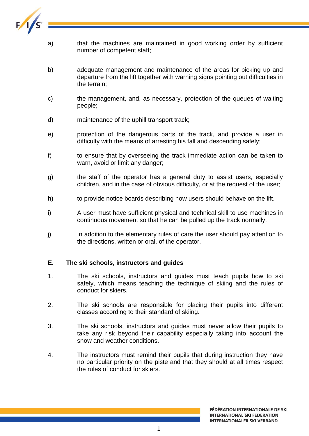

- a) that the machines are maintained in good working order by sufficient number of competent staff;
- b) adequate management and maintenance of the areas for picking up and departure from the lift together with warning signs pointing out difficulties in the terrain;
- c) the management, and, as necessary, protection of the queues of waiting people;
- d) maintenance of the uphill transport track;
- e) protection of the dangerous parts of the track, and provide a user in difficulty with the means of arresting his fall and descending safely;
- f) to ensure that by overseeing the track immediate action can be taken to warn, avoid or limit any danger;
- g) the staff of the operator has a general duty to assist users, especially children, and in the case of obvious difficulty, or at the request of the user;
- h) to provide notice boards describing how users should behave on the lift.
- i) A user must have sufficient physical and technical skill to use machines in continuous movement so that he can be pulled up the track normally.
- j) In addition to the elementary rules of care the user should pay attention to the directions, written or oral, of the operator.

#### **E. The ski schools, instructors and guides**

- 1. The ski schools, instructors and guides must teach pupils how to ski safely, which means teaching the technique of skiing and the rules of conduct for skiers.
- 2. The ski schools are responsible for placing their pupils into different classes according to their standard of skiing.
- 3. The ski schools, instructors and guides must never allow their pupils to take any risk beyond their capability especially taking into account the snow and weather conditions.
- 4. The instructors must remind their pupils that during instruction they have no particular priority on the piste and that they should at all times respect the rules of conduct for skiers.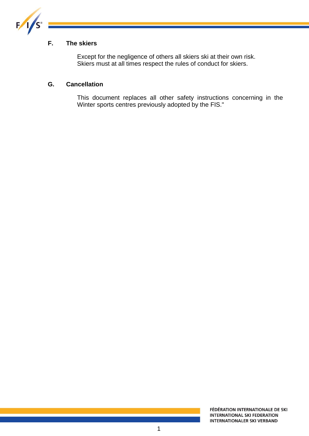

# **F. The skiers**

Except for the negligence of others all skiers ski at their own risk. Skiers must at all times respect the rules of conduct for skiers.

### **G. Cancellation**

This document replaces all other safety instructions concerning in the Winter sports centres previously adopted by the FIS."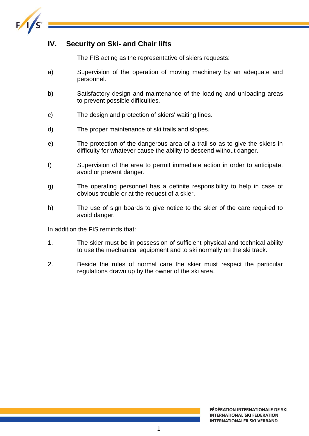

# **IV. Security on Ski- and Chair lifts**

The FIS acting as the representative of skiers requests:

- a) Supervision of the operation of moving machinery by an adequate and personnel.
- b) Satisfactory design and maintenance of the loading and unloading areas to prevent possible difficulties.
- c) The design and protection of skiers' waiting lines.
- d) The proper maintenance of ski trails and slopes.
- e) The protection of the dangerous area of a trail so as to give the skiers in difficulty for whatever cause the ability to descend without danger.
- f) Supervision of the area to permit immediate action in order to anticipate, avoid or prevent danger.
- g) The operating personnel has a definite responsibility to help in case of obvious trouble or at the request of a skier.
- h) The use of sign boards to give notice to the skier of the care required to avoid danger.

In addition the FIS reminds that:

- 1. The skier must be in possession of sufficient physical and technical ability to use the mechanical equipment and to ski normally on the ski track.
- 2. Beside the rules of normal care the skier must respect the particular regulations drawn up by the owner of the ski area.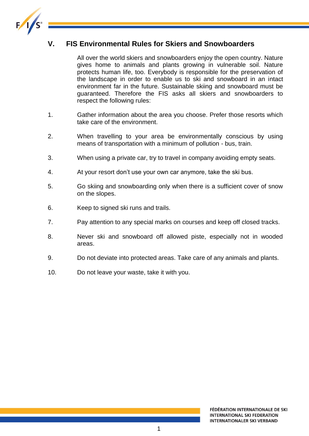

# **V. FIS Environmental Rules for Skiers and Snowboarders**

All over the world skiers and snowboarders enjoy the open country. Nature gives home to animals and plants growing in vulnerable soil. Nature protects human life, too. Everybody is responsible for the preservation of the landscape in order to enable us to ski and snowboard in an intact environment far in the future. Sustainable skiing and snowboard must be guaranteed. Therefore the FIS asks all skiers and snowboarders to respect the following rules:

- 1. Gather information about the area you choose. Prefer those resorts which take care of the environment.
- 2. When travelling to your area be environmentally conscious by using means of transportation with a minimum of pollution - bus, train.
- 3. When using a private car, try to travel in company avoiding empty seats.
- 4. At your resort don't use your own car anymore, take the ski bus.
- 5. Go skiing and snowboarding only when there is a sufficient cover of snow on the slopes.
- 6. Keep to signed ski runs and trails.
- 7. Pay attention to any special marks on courses and keep off closed tracks.
- 8. Never ski and snowboard off allowed piste, especially not in wooded areas.
- 9. Do not deviate into protected areas. Take care of any animals and plants.
- 10. Do not leave your waste, take it with you.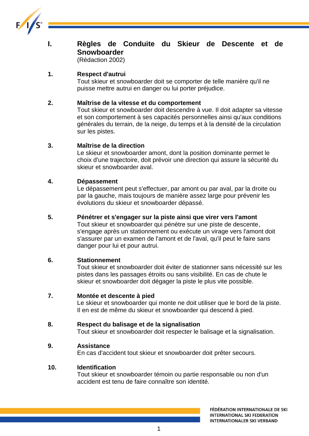

# **I. Règles de Conduite du Skieur de Descente et de Snowboarder**

(Rédaction 2002)

# **1. Respect d'autrui**

Tout skieur et snowboarder doit se comporter de telle manière qu'il ne puisse mettre autrui en danger ou lui porter préjudice.

#### **2. Maîtrise de la vitesse et du comportement**

Tout skieur et snowboarder doit descendre à vue. Il doit adapter sa vitesse et son comportement à ses capacités personnelles ainsi qu'aux conditions générales du terrain, de la neige, du temps et à la densité de la circulation sur les pistes.

#### **3. Maîtrise de la direction**

Le skieur et snowboarder amont, dont la position dominante permet le choix d'une trajectoire, doit prévoir une direction qui assure la sécurité du skieur et snowboarder aval.

#### **4. Dépassement**

Le dépassement peut s'effectuer, par amont ou par aval, par la droite ou par la gauche, mais toujours de manière assez large pour prévenir les évolutions du skieur et snowboarder dépassé.

#### **5. Pénétrer et s'engager sur la piste ainsi que virer vers l'amont**

Tout skieur et snowboarder qui pénètre sur une piste de descente, s'engage après un stationnement ou exécute un virage vers l'amont doit s'assurer par un examen de l'amont et de l'aval, qu'il peut le faire sans danger pour lui et pour autrui.

#### **6. Stationnement**

Tout skieur et snowboarder doit éviter de stationner sans nécessité sur les pistes dans les passages étroits ou sans visibilité. En cas de chute le skieur et snowboarder doit dégager la piste le plus vite possible.

#### **7. Montée et descente à pied**

Le skieur et snowboarder qui monte ne doit utiliser que le bord de la piste. Il en est de même du skieur et snowboarder qui descend à pied.

#### **8. Respect du balisage et de la signalisation**

Tout skieur et snowboarder doit respecter le balisage et la signalisation.

#### **9. Assistance**

En cas d'accident tout skieur et snowboarder doit prêter secours.

#### **10. Identification**

Tout skieur et snowboarder témoin ou partie responsable ou non d'un accident est tenu de faire connaître son identité.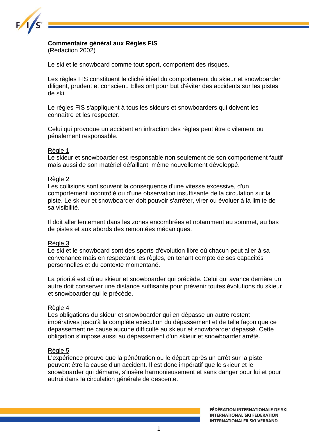

#### **Commentaire général aux Règles FIS**

(Rédaction 2002)

Le ski et le snowboard comme tout sport, comportent des risques.

Les règles FIS constituent le cliché idéal du comportement du skieur et snowboarder diligent, prudent et conscient. Elles ont pour but d'éviter des accidents sur les pistes de ski.

Le règles FIS s'appliquent à tous les skieurs et snowboarders qui doivent les connaître et les respecter.

Celui qui provoque un accident en infraction des règles peut être civilement ou pénalement responsable.

#### Règle 1

Le skieur et snowboarder est responsable non seulement de son comportement fautif mais aussi de son matériel défaillant, même nouvellement développé.

#### Règle 2

Les collisions sont souvent la conséquence d'une vitesse excessive, d'un comportement incontrôlé ou d'une observation insuffisante de la circulation sur la piste. Le skieur et snowboarder doit pouvoir s'arrêter, virer ou évoluer à la limite de sa visibilité.

Il doit aller lentement dans les zones encombrées et notamment au sommet, au bas de pistes et aux abords des remontées mécaniques.

#### Règle 3

Le ski et le snowboard sont des sports d'évolution libre où chacun peut aller à sa convenance mais en respectant les règles, en tenant compte de ses capacités personnelles et du contexte momentané.

La priorité est dû au skieur et snowboarder qui précède. Celui qui avance derrière un autre doit conserver une distance suffisante pour prévenir toutes évolutions du skieur et snowboarder qui le précède.

#### Règle 4

Les obligations du skieur et snowboarder qui en dépasse un autre restent impératives jusqu'à la complète exécution du dépassement et de telle façon que ce dépassement ne cause aucune difficulté au skieur et snowboarder dépassé. Cette obligation s'impose aussi au dépassement d'un skieur et snowboarder arrêté.

#### Règle 5

L'expérience prouve que la pénétration ou le départ après un arrêt sur la piste peuvent être la cause d'un accident. Il est donc impératif que le skieur et le snowboarder qui démarre, s'insère harmonieusement et sans danger pour lui et pour autrui dans la circulation générale de descente.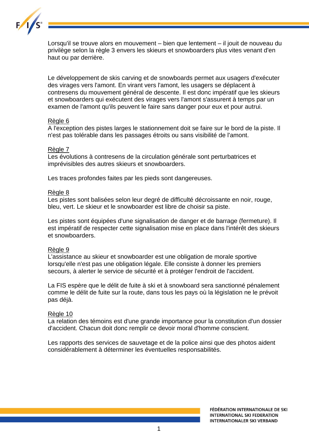

Lorsqu'il se trouve alors en mouvement – bien que lentement – il jouit de nouveau du privilège selon la règle 3 envers les skieurs et snowboarders plus vites venant d'en haut ou par derrière.

Le développement de skis carving et de snowboards permet aux usagers d'exécuter des virages vers l'amont. En virant vers l'amont, les usagers se déplacent à contresens du mouvement général de descente. Il est donc impératif que les skieurs et snowboarders qui exécutent des virages vers l'amont s'assurent à temps par un examen de l'amont qu'ils peuvent le faire sans danger pour eux et pour autrui.

#### Règle 6

A l'exception des pistes larges le stationnement doit se faire sur le bord de la piste. Il n'est pas tolérable dans les passages étroits ou sans visibilité de l'amont.

#### Règle 7

Les évolutions à contresens de la circulation générale sont perturbatrices et imprévisibles des autres skieurs et snowboarders.

Les traces profondes faites par les pieds sont dangereuses.

#### Règle 8

Les pistes sont balisées selon leur degré de difficulté décroissante en noir, rouge, bleu, vert. Le skieur et le snowboarder est libre de choisir sa piste.

Les pistes sont équipées d'une signalisation de danger et de barrage (fermeture). Il est impératif de respecter cette signalisation mise en place dans l'intérêt des skieurs et snowboarders.

#### Règle 9

L'assistance au skieur et snowboarder est une obligation de morale sportive lorsqu'elle n'est pas une obligation légale. Elle consiste à donner les premiers secours, à alerter le service de sécurité et à protéger l'endroit de l'accident.

La FIS espère que le délit de fuite à ski et à snowboard sera sanctionné pénalement comme le délit de fuite sur la route, dans tous les pays où la législation ne le prévoit pas déjà.

#### Règle 10

La relation des témoins est d'une grande importance pour la constitution d'un dossier d'accident. Chacun doit donc remplir ce devoir moral d'homme conscient.

Les rapports des services de sauvetage et de la police ainsi que des photos aident considérablement à déterminer les éventuelles responsabilités.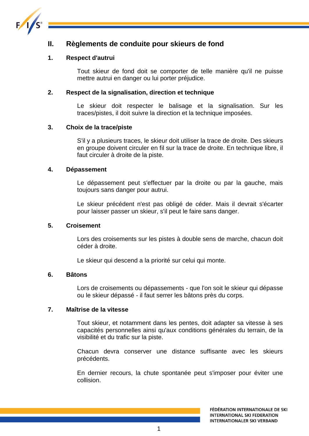

# **II. Règlements de conduite pour skieurs de fond**

#### **1. Respect d'autrui**

Tout skieur de fond doit se comporter de telle manière qu'il ne puisse mettre autrui en danger ou lui porter préjudice.

#### **2. Respect de la signalisation, direction et technique**

Le skieur doit respecter le balisage et la signalisation. Sur les traces/pistes, il doit suivre la direction et la technique imposées.

#### **3. Choix de la trace/piste**

S'il y a plusieurs traces, le skieur doit utiliser la trace de droite. Des skieurs en groupe doivent circuler en fil sur la trace de droite. En technique libre, il faut circuler à droite de la piste.

#### **4. Dépassement**

Le dépassement peut s'effectuer par la droite ou par la gauche, mais toujours sans danger pour autrui.

Le skieur précédent n'est pas obligé de céder. Mais il devrait s'écarter pour laisser passer un skieur, s'il peut le faire sans danger.

#### **5. Croisement**

Lors des croisements sur les pistes à double sens de marche, chacun doit céder à droite.

Le skieur qui descend a la priorité sur celui qui monte.

#### **6. Bâtons**

Lors de croisements ou dépassements - que l'on soit le skieur qui dépasse ou le skieur dépassé - il faut serrer les bâtons près du corps.

#### **7. Maîtrise de la vitesse**

Tout skieur, et notamment dans les pentes, doit adapter sa vitesse à ses capacités personnelles ainsi qu'aux conditions générales du terrain, de la visibilité et du trafic sur la piste.

Chacun devra conserver une distance suffisante avec les skieurs précédents.

En dernier recours, la chute spontanée peut s'imposer pour éviter une collision.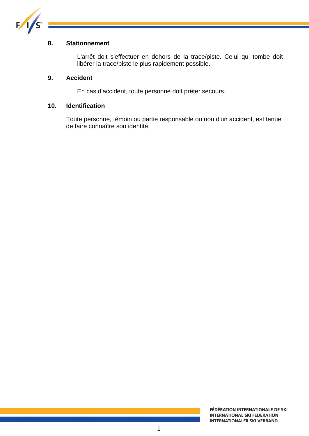

### **8. Stationnement**

L'arrêt doit s'effectuer en dehors de la trace/piste. Celui qui tombe doit libérer la trace/piste le plus rapidement possible.

#### **9. Accident**

En cas d'accident, toute personne doit prêter secours.

#### **10. Identification**

Toute personne, témoin ou partie responsable ou non d'un accident, est tenue de faire connaître son identité.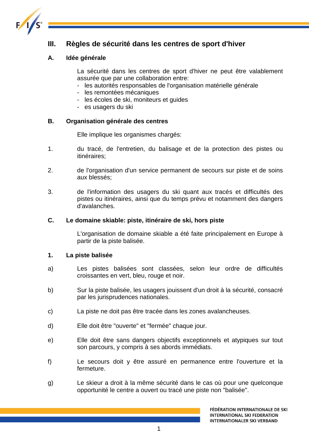

# **III. Règles de sécurité dans les centres de sport d'hiver**

#### **A. Idée générale**

La sécurité dans les centres de sport d'hiver ne peut être valablement assurée que par une collaboration entre:

- les autorités responsables de l'organisation matérielle générale
- les remontées mécaniques
- les écoles de ski, moniteurs et quides
- es usagers du ski

#### **B. Organisation générale des centres**

Elle implique les organismes chargés:

- 1. du tracé, de l'entretien, du balisage et de la protection des pistes ou itinéraires;
- 2. de l'organisation d'un service permanent de secours sur piste et de soins aux blessés;
- 3. de l'information des usagers du ski quant aux tracés et difficultés des pistes ou itinéraires, ainsi que du temps prévu et notamment des dangers d'avalanches.

#### **C. Le domaine skiable: piste, itinéraire de ski, hors piste**

L'organisation de domaine skiable a été faite principalement en Europe à partir de la piste balisée.

#### **1. La piste balisée**

- a) Les pistes balisées sont classées, selon leur ordre de difficultés croissantes en vert, bleu, rouge et noir.
- b) Sur la piste balisée, les usagers jouissent d'un droit à la sécurité, consacré par les jurisprudences nationales.
- c) La piste ne doit pas être tracée dans les zones avalancheuses.
- d) Elle doit être "ouverte" et "fermée" chaque jour.
- e) Elle doit être sans dangers objectifs exceptionnels et atypiques sur tout son parcours, y compris à ses abords immédiats.
- f) Le secours doit y être assuré en permanence entre l'ouverture et la fermeture.
- g) Le skieur a droit à la même sécurité dans le cas où pour une quelconque opportunité le centre a ouvert ou tracé une piste non "balisée".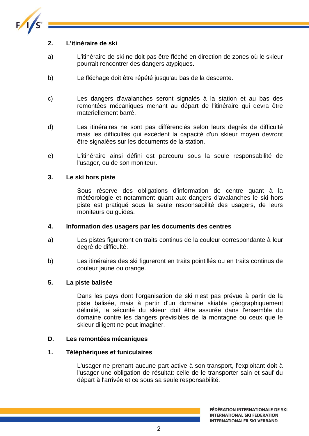

#### **2. L'itinéraire de ski**

- a) L'itinéraire de ski ne doit pas être fléché en direction de zones où le skieur pourrait rencontrer des dangers atypiques.
- b) Le fléchage doit être répété jusqu'au bas de la descente.
- c) Les dangers d'avalanches seront signalés à la station et au bas des remontées mécaniques menant au départ de l'itinéraire qui devra être materiellement barré.
- d) Les itinéraires ne sont pas différenciés selon leurs degrés de difficulté mais les difficultés qui excèdent la capacité d'un skieur moyen devront être signalées sur les documents de la station.
- e) L'itinéraire ainsi défini est parcouru sous la seule responsabilité de l'usager, ou de son moniteur.

#### **3. Le ski hors piste**

Sous réserve des obligations d'information de centre quant à la météorologie et notamment quant aux dangers d'avalanches le ski hors piste est pratiqué sous la seule responsabilité des usagers, de leurs moniteurs ou guides.

#### **4. Information des usagers par les documents des centres**

- a) Les pistes figureront en traits continus de la couleur correspondante à leur degré de difficulté.
- b) Les itinéraires des ski figureront en traits pointillés ou en traits continus de couleur jaune ou orange.

#### **5. La piste balisée**

Dans les pays dont l'organisation de ski n'est pas prévue à partir de la piste balisée, mais à partir d'un domaine skiable géographiquement délimité, la sécurité du skieur doit être assurée dans l'ensemble du domaine contre les dangers prévisibles de la montagne ou ceux que le skieur diligent ne peut imaginer.

#### **D. Les remontées mécaniques**

#### **1. Téléphériques et funiculaires**

L'usager ne prenant aucune part active à son transport, l'exploitant doit à l'usager une obligation de résultat: celle de le transporter sain et sauf du départ à l'arrivée et ce sous sa seule responsabilité.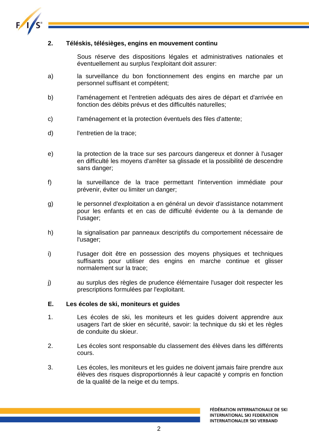

#### **2. Téléskis, télésièges, engins en mouvement continu**

Sous réserve des dispositions légales et administratives nationales et éventuellement au surplus l'exploitant doit assurer:

- a) la surveillance du bon fonctionnement des engins en marche par un personnel suffisant et compétent;
- b) l'aménagement et l'entretien adéquats des aires de départ et d'arrivée en fonction des débits prévus et des difficultés naturelles;
- c) l'aménagement et la protection éventuels des files d'attente;
- d) l'entretien de la trace;
- e) la protection de la trace sur ses parcours dangereux et donner à l'usager en difficulté les moyens d'arrêter sa glissade et la possibilité de descendre sans danger;
- f) la surveillance de la trace permettant l'intervention immédiate pour prévenir, éviter ou limiter un danger;
- g) le personnel d'exploitation a en général un devoir d'assistance notamment pour les enfants et en cas de difficulté évidente ou à la demande de l'usager;
- h) la signalisation par panneaux descriptifs du comportement nécessaire de l'usager;
- i) l'usager doit être en possession des moyens physiques et techniques suffisants pour utiliser des engins en marche continue et glisser normalement sur la trace;
- j) au surplus des règles de prudence élémentaire l'usager doit respecter les prescriptions formulées par l'exploitant.

#### **E. Les écoles de ski, moniteurs et guides**

- 1. Les écoles de ski, les moniteurs et les guides doivent apprendre aux usagers l'art de skier en sécurité, savoir: la technique du ski et les règles de conduite du skieur.
- 2. Les écoles sont responsable du classement des élèves dans les différents cours.
- 3. Les écoles, les moniteurs et les guides ne doivent jamais faire prendre aux élèves des risques disproportionnés à leur capacité y compris en fonction de la qualité de la neige et du temps.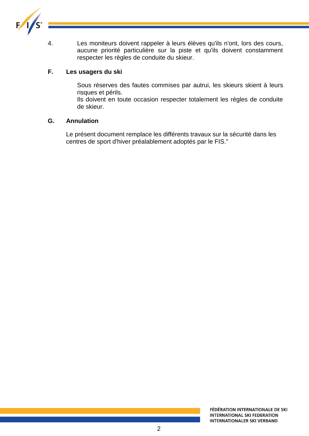

4. Les moniteurs doivent rappeler à leurs élèves qu'ils n'ont, lors des cours, aucune priorité particulière sur la piste et qu'ils doivent constamment respecter les règles de conduite du skieur.

### **F. Les usagers du ski**

Sous réserves des fautes commises par autrui, les skieurs skient à leurs risques et périls.

Ils doivent en toute occasion respecter totalement les règles de conduite de skieur.

#### **G. Annulation**

Le présent document remplace les différents travaux sur la sécurité dans les centres de sport d'hiver préalablement adoptés par le FIS."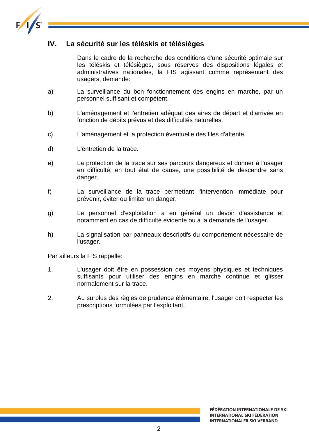

# **IV. La sécurité sur les téléskis et télésièges**

Dans le cadre de la recherche des conditions d'une sécurité optimale sur les téléskis et télésièges, sous réserves des dispositions légales et administratives nationales, la FIS agissant comme représentant des usagers, demande:

- a) La surveillance du bon fonctionnement des engins en marche, par un personnel suffisant et compétent.
- b) L'aménagement et l'entretien adéquat des aires de départ et d'arrivée en fonction de débits prévus et des difficultés naturelles.
- c) L'aménagement et la protection éventuelle des files d'attente.
- d) L'entretien de la trace.
- e) La protection de la trace sur ses parcours dangereux et donner à l'usager en difficulté, en tout état de cause, une possibilité de descendre sans danger.
- f) La surveillance de la trace permettant l'intervention immédiate pour prévenir, éviter ou limiter un danger.
- g) Le personnel d'exploitation a en général un devoir d'assistance et notamment en cas de difficulté évidente ou à la demande de l'usager.
- h) La signalisation par panneaux descriptifs du comportement nécessaire de l'usager.

Par ailleurs la FIS rappelle:

- 1. L'usager doit être en possession des moyens physiques et techniques suffisants pour utiliser des engins en marche continue et glisser normalement sur la trace.
- 2. Au surplus des règles de prudence élémentaire, l'usager doit respecter les prescriptions formulées par l'exploitant.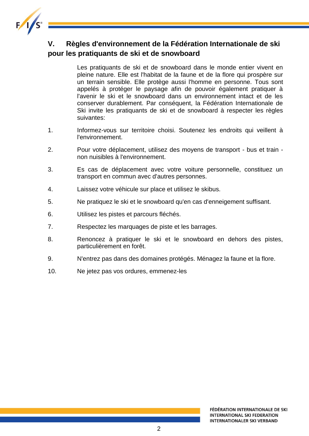

# **V. Règles d'environnement de la Fédération Internationale de ski pour les pratiquants de ski et de snowboard**

Les pratiquants de ski et de snowboard dans le monde entier vivent en pleine nature. Elle est l'habitat de la faune et de la flore qui prospère sur un terrain sensible. Elle protège aussi l'homme en personne. Tous sont appelés à protéger le paysage afin de pouvoir également pratiquer à l'avenir le ski et le snowboard dans un environnement intact et de les conserver durablement. Par conséquent, la Fédération Internationale de Ski invite les pratiquants de ski et de snowboard à respecter les règles suivantes:

- 1. Informez-vous sur territoire choisi. Soutenez les endroits qui veillent à l'environnement.
- 2. Pour votre déplacement, utilisez des moyens de transport bus et train non nuisibles à l'environnement.
- 3. Es cas de déplacement avec votre voiture personnelle, constituez un transport en commun avec d'autres personnes.
- 4. Laissez votre véhicule sur place et utilisez le skibus.
- 5. Ne pratiquez le ski et le snowboard qu'en cas d'enneigement suffisant.
- 6. Utilisez les pistes et parcours fléchés.
- 7. Respectez les marquages de piste et les barrages.
- 8. Renoncez à pratiquer le ski et le snowboard en dehors des pistes, particulièrement en forêt.
- 9. N'entrez pas dans des domaines protégés. Ménagez la faune et la flore.
- 10. Ne jetez pas vos ordures, emmenez-les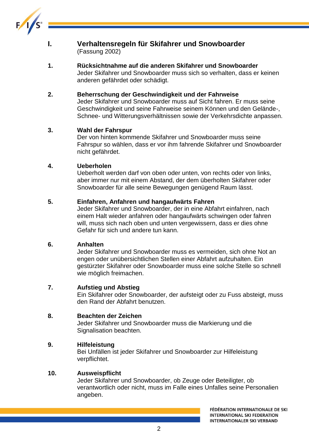

# **I. Verhaltensregeln für Skifahrer und Snowboarder** (Fassung 2002)

**1. Rücksichtnahme auf die anderen Skifahrer und Snowboarder** Jeder Skifahrer und Snowboarder muss sich so verhalten, dass er keinen anderen gefährdet oder schädigt.

### **2. Beherrschung der Geschwindigkeit und der Fahrweise**

Jeder Skifahrer und Snowboarder muss auf Sicht fahren. Er muss seine Geschwindigkeit und seine Fahrweise seinem Können und den Gelände-, Schnee- und Witterungsverhältnissen sowie der Verkehrsdichte anpassen.

### **3. Wahl der Fahrspur**

Der von hinten kommende Skifahrer und Snowboarder muss seine Fahrspur so wählen, dass er vor ihm fahrende Skifahrer und Snowboarder nicht gefährdet.

# **4. Ueberholen**

Ueberholt werden darf von oben oder unten, von rechts oder von links, aber immer nur mit einem Abstand, der dem überholten Skifahrer oder Snowboarder für alle seine Bewegungen genügend Raum lässt.

# **5. Einfahren, Anfahren und hangaufwärts Fahren**

Jeder Skifahrer und Snowboarder, der in eine Abfahrt einfahren, nach einem Halt wieder anfahren oder hangaufwärts schwingen oder fahren will, muss sich nach oben und unten vergewissern, dass er dies ohne Gefahr für sich und andere tun kann.

### **6. Anhalten**

Jeder Skifahrer und Snowboarder muss es vermeiden, sich ohne Not an engen oder unübersichtlichen Stellen einer Abfahrt aufzuhalten. Ein gestürzter Skifahrer oder Snowboarder muss eine solche Stelle so schnell wie möglich freimachen.

# **7. Aufstieg und Abstieg**

Ein Skifahrer oder Snowboarder, der aufsteigt oder zu Fuss absteigt, muss den Rand der Abfahrt benutzen.

### **8. Beachten der Zeichen**

Jeder Skifahrer und Snowboarder muss die Markierung und die Signalisation beachten.

### **9. Hilfeleistung**

Bei Unfällen ist jeder Skifahrer und Snowboarder zur Hilfeleistung verpflichtet.

### **10. Ausweispflicht**

Jeder Skifahrer und Snowboarder, ob Zeuge oder Beteiligter, ob verantwortlich oder nicht, muss im Falle eines Unfalles seine Personalien angeben.

> FÉDÉRATION INTERNATIONALE DE SKI **INTERNATIONAL SKI FEDERATION INTERNATIONALER SKI VERBAND**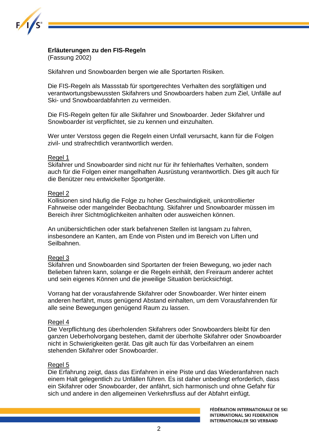

#### **Erläuterungen zu den FIS-Regeln**

(Fassung 2002)

Skifahren und Snowboarden bergen wie alle Sportarten Risiken.

Die FIS-Regeln als Massstab für sportgerechtes Verhalten des sorgfältigen und verantwortungsbewussten Skifahrers und Snowboarders haben zum Ziel, Unfälle auf Ski- und Snowboardabfahrten zu vermeiden.

Die FIS-Regeln gelten für alle Skifahrer und Snowboarder. Jeder Skifahrer und Snowboarder ist verpflichtet, sie zu kennen und einzuhalten.

Wer unter Verstoss gegen die Regeln einen Unfall verursacht, kann für die Folgen zivil- und strafrechtlich verantwortlich werden.

#### Regel 1

Skifahrer und Snowboarder sind nicht nur für ihr fehlerhaftes Verhalten, sondern auch für die Folgen einer mangelhaften Ausrüstung verantwortlich. Dies gilt auch für die Benützer neu entwickelter Sportgeräte.

#### Regel 2

Kollisionen sind häufig die Folge zu hoher Geschwindigkeit, unkontrollierter Fahrweise oder mangelnder Beobachtung. Skifahrer und Snowboarder müssen im Bereich ihrer Sichtmöglichkeiten anhalten oder ausweichen können.

An unübersichtlichen oder stark befahrenen Stellen ist langsam zu fahren, insbesondere an Kanten, am Ende von Pisten und im Bereich von Liften und Seilbahnen.

#### Regel 3

Skifahren und Snowboarden sind Sportarten der freien Bewegung, wo jeder nach Belieben fahren kann, solange er die Regeln einhält, den Freiraum anderer achtet und sein eigenes Können und die jeweilige Situation berücksichtigt.

Vorrang hat der vorausfahrende Skifahrer oder Snowboarder. Wer hinter einem anderen herfährt, muss genügend Abstand einhalten, um dem Vorausfahrenden für alle seine Bewegungen genügend Raum zu lassen.

#### Regel 4

Die Verpflichtung des überholenden Skifahrers oder Snowboarders bleibt für den ganzen Ueberholvorgang bestehen, damit der überholte Skifahrer oder Snowboarder nicht in Schwierigkeiten gerät. Das gilt auch für das Vorbeifahren an einem stehenden Skifahrer oder Snowboarder.

#### Regel 5

Die Erfahrung zeigt, dass das Einfahren in eine Piste und das Wiederanfahren nach einem Halt gelegentlich zu Unfällen führen. Es ist daher unbedingt erforderlich, dass ein Skifahrer oder Snowboarder, der anfährt, sich harmonisch und ohne Gefahr für sich und andere in den allgemeinen Verkehrsfluss auf der Abfahrt einfügt.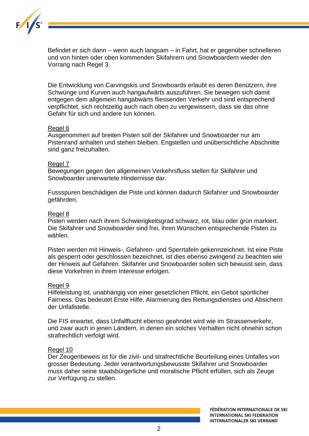

Befindet er sich dann – wenn auch langsam – in Fahrt, hat er gegenüber schnelleren und von hinten oder oben kommenden Skifahrern und Snowboardern wieder den Vorrang nach Regel 3.

Die Entwicklung von Carvingskis und Snowboards erlaubt es deren Benützern, ihre Schwünge und Kurven auch hangaufwärts auszuführen. Sie bewegen sich damit entgegen dem allgemein hangabwärts fliessenden Verkehr und sind entsprechend verpflichtet, sich rechtzeitig auch nach oben zu vergewissern, dass sie das ohne Gefahr für sich und andere tun können.

#### Regel 6

Ausgenommen auf breiten Pisten soll der Skifahrer und Snowboarder nur am Pistenrand anhalten und stehen bleiben. Engstellen und unübersichtliche Abschnitte sind ganz freizuhalten.

#### Regel 7

Bewegungen gegen den allgemeinen Verkehrsfluss stellen für Skifahrer und Snowboarder unerwartete Hindernisse dar.

Fussspuren beschädigen die Piste und können dadurch Skifahrer und Snowboarder gefährden.

#### Regel 8

Pisten werden nach ihrem Schwierigkeitsgrad schwarz, rot, blau oder grün markiert. Die Skifahrer und Snowboarder sind frei, ihren Wünschen entsprechende Pisten zu wählen.

Pisten werden mit Hinweis-, Gefahren- und Sperrtafeln gekennzeichnet. Ist eine Piste als gesperrt oder geschlossen bezeichnet, ist dies ebenso zwingend zu beachten wie der Hinweis auf Gefahren. Skifahrer und Snowboarder sollen sich bewusst sein, dass diese Vorkehren in ihrem Interesse erfolgen.

#### Regel 9

Hilfeleistung ist, unabhängig von einer gesetzlichen Pflicht, ein Gebot sportlicher Fairness. Das bedeutet Erste Hilfe, Alarmierung des Rettungsdienstes und Absichern der Unfallstelle.

Die FIS erwartet, dass Unfallflucht ebenso geahndet wird wie im Strassenverkehr, und zwar auch in jenen Ländern, in denen ein solches Verhalten nicht ohnehin schon strafrechtlich verfolgt wird.

#### Regel 10

Der Zeugenbeweis ist für die zivil- und strafrechtliche Beurteilung eines Unfalles von grosser Bedeutung. Jeder verantwortungsbewusste Skifahrer und Snowboarder muss daher seine staatsbürgerliche und moralische Pflicht erfüllen, sich als Zeuge zur Verfügung zu stellen.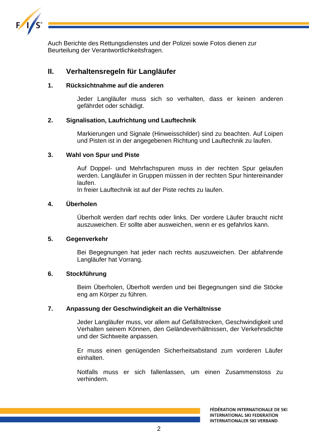

Auch Berichte des Rettungsdienstes und der Polizei sowie Fotos dienen zur Beurteilung der Verantwortlichkeitsfragen.

# **II. Verhaltensregeln für Langläufer**

#### **1. Rücksichtnahme auf die anderen**

Jeder Langläufer muss sich so verhalten, dass er keinen anderen gefährdet oder schädigt.

#### **2. Signalisation, Laufrichtung und Lauftechnik**

Markierungen und Signale (Hinweisschilder) sind zu beachten. Auf Loipen und Pisten ist in der angegebenen Richtung und Lauftechnik zu laufen.

#### **3. Wahl von Spur und Piste**

Auf Doppel- und Mehrfachspuren muss in der rechten Spur gelaufen werden. Langläufer in Gruppen müssen in der rechten Spur hintereinander laufen.

In freier Lauftechnik ist auf der Piste rechts zu laufen.

#### **4. Überholen**

Überholt werden darf rechts oder links. Der vordere Läufer braucht nicht auszuweichen. Er sollte aber ausweichen, wenn er es gefahrlos kann.

#### **5. Gegenverkehr**

Bei Begegnungen hat jeder nach rechts auszuweichen. Der abfahrende Langläufer hat Vorrang.

#### **6. Stockführung**

Beim Überholen, Überholt werden und bei Begegnungen sind die Stöcke eng am Körper zu führen.

#### **7. Anpassung der Geschwindigkeit an die Verhältnisse**

Jeder Langläufer muss, vor allem auf Gefällstrecken, Geschwindigkeit und Verhalten seinem Können, den Geländeverhältnissen, der Verkehrsdichte und der Sichtweite anpassen.

Er muss einen genügenden Sicherheitsabstand zum vorderen Läufer einhalten.

Notfalls muss er sich fallenlassen, um einen Zusammenstoss zu verhindern.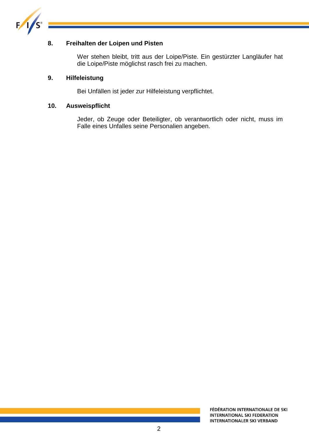

### **8. Freihalten der Loipen und Pisten**

Wer stehen bleibt, tritt aus der Loipe/Piste. Ein gestürzter Langläufer hat die Loipe/Piste möglichst rasch frei zu machen.

#### **9. Hilfeleistung**

Bei Unfällen ist jeder zur Hilfeleistung verpflichtet.

#### **10. Ausweispflicht**

Jeder, ob Zeuge oder Beteiligter, ob verantwortlich oder nicht, muss im Falle eines Unfalles seine Personalien angeben.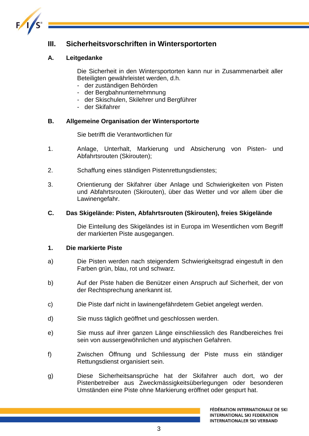

# **III. Sicherheitsvorschriften in Wintersportorten**

### **A. Leitgedanke**

Die Sicherheit in den Wintersportorten kann nur in Zusammenarbeit aller Beteiligten gewährleistet werden, d.h.

- der zuständigen Behörden
- der Bergbahnunternehmnung
- der Skischulen, Skilehrer und Bergführer
- der Skifahrer

#### **B. Allgemeine Organisation der Wintersportorte**

Sie betrifft die Verantwortlichen für

- 1. Anlage, Unterhalt, Markierung und Absicherung von Pisten- und Abfahrtsrouten (Skirouten);
- 2. Schaffung eines ständigen Pistenrettungsdienstes;
- 3. Orientierung der Skifahrer über Anlage und Schwierigkeiten von Pisten und Abfahrtsrouten (Skirouten), über das Wetter und vor allem über die Lawinengefahr.

#### **C. Das Skigelände: Pisten, Abfahrtsrouten (Skirouten), freies Skigelände**

Die Einteilung des Skigeländes ist in Europa im Wesentlichen vom Begriff der markierten Piste ausgegangen.

#### **1. Die markierte Piste**

- a) Die Pisten werden nach steigendem Schwierigkeitsgrad eingestuft in den Farben grün, blau, rot und schwarz.
- b) Auf der Piste haben die Benützer einen Anspruch auf Sicherheit, der von der Rechtsprechung anerkannt ist.
- c) Die Piste darf nicht in lawinengefährdetem Gebiet angelegt werden.
- d) Sie muss täglich geöffnet und geschlossen werden.
- e) Sie muss auf ihrer ganzen Länge einschliesslich des Randbereiches frei sein von aussergewöhnlichen und atypischen Gefahren.
- f) Zwischen Öffnung und Schliessung der Piste muss ein ständiger Rettungsdienst organisiert sein.
- g) Diese Sicherheitsansprüche hat der Skifahrer auch dort, wo der Pistenbetreiber aus Zweckmässigkeitsüberlegungen oder besonderen Umständen eine Piste ohne Markierung eröffnet oder gespurt hat.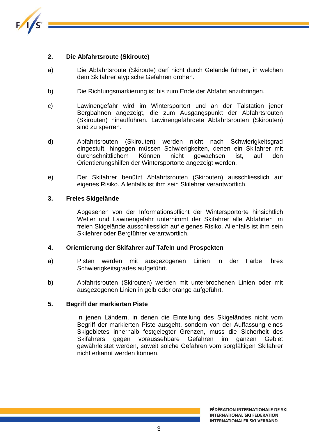

#### **2. Die Abfahrtsroute (Skiroute)**

- a) Die Abfahrtsroute (Skiroute) darf nicht durch Gelände führen, in welchen dem Skifahrer atypische Gefahren drohen.
- b) Die Richtungsmarkierung ist bis zum Ende der Abfahrt anzubringen.
- c) Lawinengefahr wird im Wintersportort und an der Talstation jener Bergbahnen angezeigt, die zum Ausgangspunkt der Abfahrtsrouten (Skirouten) hinaufführen. Lawinengefährdete Abfahrtsrouten (Skirouten) sind zu sperren.
- d) Abfahrtsrouten (Skirouten) werden nicht nach Schwierigkeitsgrad eingestuft, hingegen müssen Schwierigkeiten, denen ein Skifahrer mit durchschnittlichem Können nicht gewachsen ist, auf den Orientierungshilfen der Wintersportorte angezeigt werden.
- e) Der Skifahrer benützt Abfahrtsrouten (Skirouten) ausschliesslich auf eigenes Risiko. Allenfalls ist ihm sein Skilehrer verantwortlich.

#### **3. Freies Skigelände**

Abgesehen von der Informationspflicht der Wintersportorte hinsichtlich Wetter und Lawinengefahr unternimmt der Skifahrer alle Abfahrten im freien Skigelände ausschliesslich auf eigenes Risiko. Allenfalls ist ihm sein Skilehrer oder Bergführer verantwortlich.

#### **4. Orientierung der Skifahrer auf Tafeln und Prospekten**

- a) Pisten werden mit ausgezogenen Linien in der Farbe ihres Schwierigkeitsgrades aufgeführt.
- b) Abfahrtsrouten (Skirouten) werden mit unterbrochenen Linien oder mit ausgezogenen Linien in gelb oder orange aufgeführt.

#### **5. Begriff der markierten Piste**

In jenen Ländern, in denen die Einteilung des Skigeländes nicht vom Begriff der markierten Piste ausgeht, sondern von der Auffassung eines Skigebietes innerhalb festgelegter Grenzen, muss die Sicherheit des Skifahrers gegen voraussehbare Gefahren im ganzen Gebiet gewährleistet werden, soweit solche Gefahren vom sorgfältigen Skifahrer nicht erkannt werden können.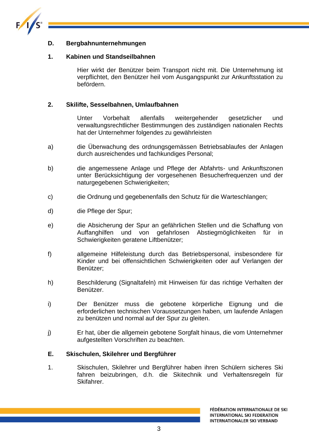

#### **D. Bergbahnunternehmungen**

#### **1. Kabinen und Standseilbahnen**

Hier wirkt der Benützer beim Transport nicht mit. Die Unternehmung ist verpflichtet, den Benützer heil vom Ausgangspunkt zur Ankunftsstation zu befördern.

#### **2. Skilifte, Sesselbahnen, Umlaufbahnen**

Unter Vorbehalt allenfalls weitergehender gesetzlicher und verwaltungsrechtlicher Bestimmungen des zuständigen nationalen Rechts hat der Unternehmer folgendes zu gewährleisten

- a) die Überwachung des ordnungsgemässen Betriebsablaufes der Anlagen durch ausreichendes und fachkundiges Personal;
- b) die angemessene Anlage und Pflege der Abfahrts- und Ankunftszonen unter Berücksichtigung der vorgesehenen Besucherfrequenzen und der naturgegebenen Schwierigkeiten;
- c) die Ordnung und gegebenenfalls den Schutz für die Warteschlangen;
- d) die Pflege der Spur;
- e) die Absicherung der Spur an gefährlichen Stellen und die Schaffung von Auffanghilfen und von gefahrlosen Abstiegmöglichkeiten für in Schwierigkeiten geratene Liftbenützer;
- f) allgemeine Hilfeleistung durch das Betriebspersonal, insbesondere für Kinder und bei offensichtlichen Schwierigkeiten oder auf Verlangen der Benützer;
- h) Beschilderung (Signaltafeln) mit Hinweisen für das richtige Verhalten der Benützer.
- i) Der Benützer muss die gebotene körperliche Eignung und die erforderlichen technischen Voraussetzungen haben, um laufende Anlagen zu benützen und normal auf der Spur zu gleiten.
- j) Er hat, über die allgemein gebotene Sorgfalt hinaus, die vom Unternehmer aufgestellten Vorschriften zu beachten.

#### **E. Skischulen, Skilehrer und Bergführer**

1. Skischulen, Skilehrer und Bergführer haben ihren Schülern sicheres Ski fahren beizubringen, d.h. die Skitechnik und Verhaltensregeln für Skifahrer.